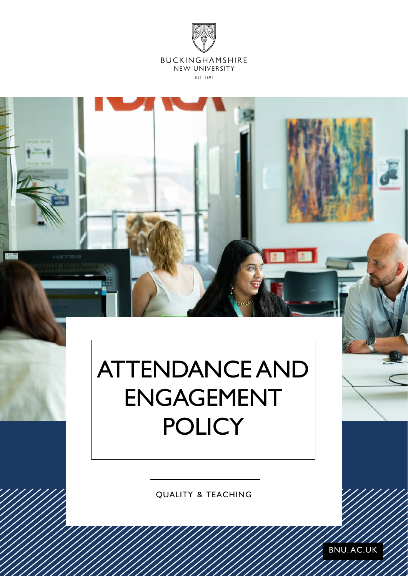



# ATTENDANCE AND ENGAGEMENT **POLICY**

QUALITY & TEACHING

BNU. AC.UK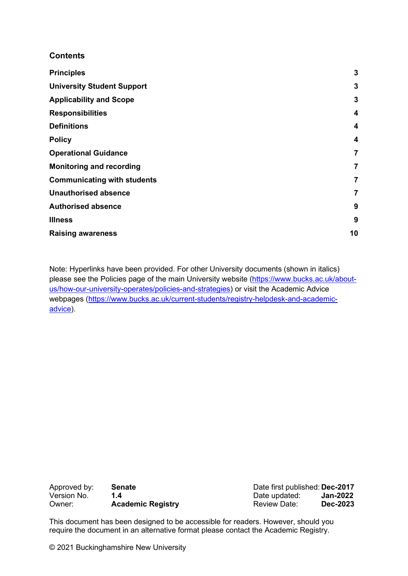#### **Contents**

| <b>Principles</b>                  | 3            |
|------------------------------------|--------------|
| <b>University Student Support</b>  | $\mathbf{3}$ |
| <b>Applicability and Scope</b>     | $\mathbf{3}$ |
| <b>Responsibilities</b>            | 4            |
| <b>Definitions</b>                 | 4            |
| <b>Policy</b>                      | 4            |
| <b>Operational Guidance</b>        | 7            |
| <b>Monitoring and recording</b>    | 7            |
| <b>Communicating with students</b> | 7            |
| <b>Unauthorised absence</b>        | 7            |
| <b>Authorised absence</b>          | 9            |
| <b>Illness</b>                     | 9            |
| <b>Raising awareness</b>           | 10           |

Note: Hyperlinks have been provided. For other University documents (shown in italics) please see the Policies page of the main University website [\(https://www.bucks.ac.uk/about](https://www.bucks.ac.uk/about-us/how-our-university-operates/policies-and-strategies)[us/how-our-university-operates/policies-and-strategies\)](https://www.bucks.ac.uk/about-us/how-our-university-operates/policies-and-strategies) or visit the Academic Advice webpages [\(https://www.bucks.ac.uk/current-students/registry-helpdesk-and-academic](https://www.bucks.ac.uk/current-students/registry-helpdesk-and-academic-advice)[advice\)](https://www.bucks.ac.uk/current-students/registry-helpdesk-and-academic-advice).

| Approved by: | <b>Senate</b>            |
|--------------|--------------------------|
| Version No.  | 1.4                      |
| Owner:       | <b>Academic Registry</b> |

Date first published: **Dec-2017**<br>Date updated: **Jan-2022** Date updated: **Jan-2022**<br>Review Date: **Dec-2023 Review Date:** 

This document has been designed to be accessible for readers. However, should you require the document in an alternative format please contact the Academic Registry.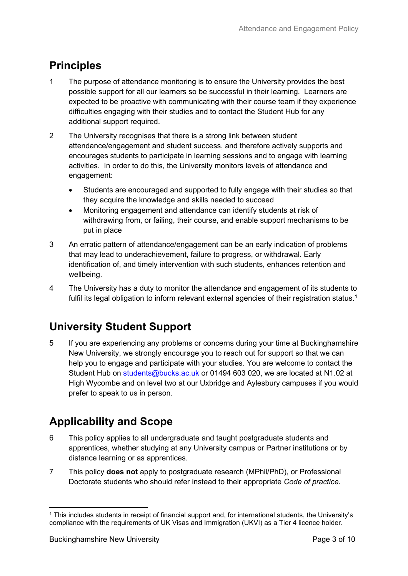# <span id="page-2-0"></span>**Principles**

- 1 The purpose of attendance monitoring is to ensure the University provides the best possible support for all our learners so be successful in their learning. Learners are expected to be proactive with communicating with their course team if they experience difficulties engaging with their studies and to contact the Student Hub for any additional support required.
- 2 The University recognises that there is a strong link between student attendance/engagement and student success, and therefore actively supports and encourages students to participate in learning sessions and to engage with learning activities. In order to do this, the University monitors levels of attendance and engagement:
	- Students are encouraged and supported to fully engage with their studies so that they acquire the knowledge and skills needed to succeed
	- Monitoring engagement and attendance can identify students at risk of withdrawing from, or failing, their course, and enable support mechanisms to be put in place
- 3 An erratic pattern of attendance/engagement can be an early indication of problems that may lead to underachievement, failure to progress, or withdrawal. Early identification of, and timely intervention with such students, enhances retention and wellbeing.
- 4 The University has a duty to monitor the attendance and engagement of its students to fulfil its legal obligation to inform relevant external agencies of their registration status.<sup>[1](#page-2-3)</sup>

# <span id="page-2-1"></span>**University Student Support**

5 If you are experiencing any problems or concerns during your time at Buckinghamshire New University, we strongly encourage you to reach out for support so that we can help you to engage and participate with your studies. You are welcome to contact the Student Hub on [students@bucks.ac.uk](mailto:students@bucks.ac.uk) or 01494 603 020, we are located at N1.02 at High Wycombe and on level two at our Uxbridge and Aylesbury campuses if you would prefer to speak to us in person.

# <span id="page-2-2"></span>**Applicability and Scope**

- 6 This policy applies to all undergraduate and taught postgraduate students and apprentices, whether studying at any University campus or Partner institutions or by distance learning or as apprentices.
- 7 This policy **does not** apply to postgraduate research (MPhil/PhD), or Professional Doctorate students who should refer instead to their appropriate *Code of practice*.

<span id="page-2-3"></span><sup>1</sup> This includes students in receipt of financial support and, for international students, the University's compliance with the requirements of UK Visas and Immigration (UKVI) as a Tier 4 licence holder.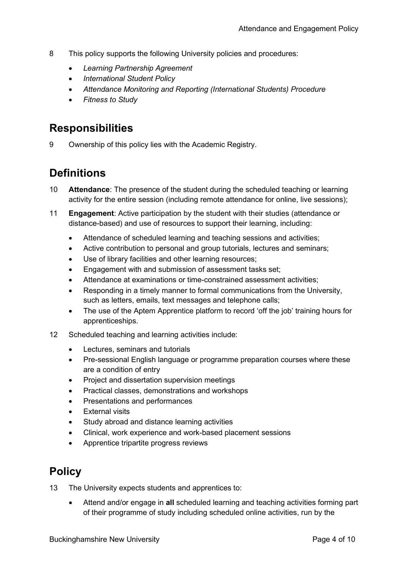- 8 This policy supports the following University policies and procedures:
	- *Learning Partnership Agreement*
	- *International Student Policy*
	- *Attendance Monitoring and Reporting (International Students) Procedure*
	- *Fitness to Study*

### <span id="page-3-0"></span>**Responsibilities**

9 Ownership of this policy lies with the Academic Registry.

### <span id="page-3-1"></span>**Definitions**

- 10 **Attendance**: The presence of the student during the scheduled teaching or learning activity for the entire session (including remote attendance for online, live sessions);
- 11 **Engagement**: Active participation by the student with their studies (attendance or distance-based) and use of resources to support their learning, including:
	- Attendance of scheduled learning and teaching sessions and activities;
	- Active contribution to personal and group tutorials, lectures and seminars;
	- Use of library facilities and other learning resources;
	- Engagement with and submission of assessment tasks set;
	- Attendance at examinations or time-constrained assessment activities;
	- Responding in a timely manner to formal communications from the University, such as letters, emails, text messages and telephone calls;
	- The use of the Aptem Apprentice platform to record 'off the job' training hours for apprenticeships.
- 12 Scheduled teaching and learning activities include:
	- Lectures, seminars and tutorials
	- Pre-sessional English language or programme preparation courses where these are a condition of entry
	- Project and dissertation supervision meetings
	- Practical classes, demonstrations and workshops
	- Presentations and performances
	- **External visits**
	- Study abroad and distance learning activities
	- Clinical, work experience and work-based placement sessions
	- Apprentice tripartite progress reviews

### <span id="page-3-2"></span>**Policy**

13 The University expects students and apprentices to:

• Attend and/or engage in **all** scheduled learning and teaching activities forming part of their programme of study including scheduled online activities, run by the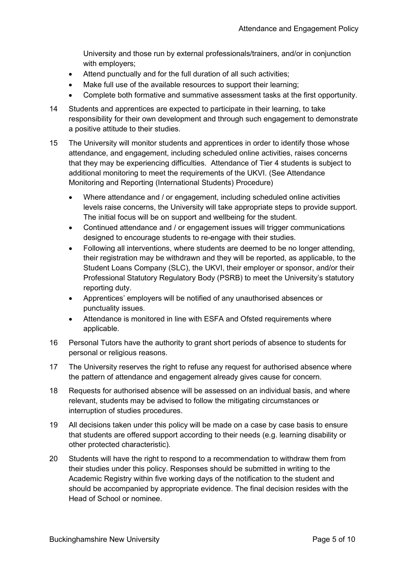University and those run by external professionals/trainers, and/or in conjunction with employers;

- Attend punctually and for the full duration of all such activities;
- Make full use of the available resources to support their learning;
- Complete both formative and summative assessment tasks at the first opportunity.
- 14 Students and apprentices are expected to participate in their learning, to take responsibility for their own development and through such engagement to demonstrate a positive attitude to their studies.
- 15 The University will monitor students and apprentices in order to identify those whose attendance, and engagement, including scheduled online activities, raises concerns that they may be experiencing difficulties. Attendance of Tier 4 students is subject to additional monitoring to meet the requirements of the UKVI. (See Attendance Monitoring and Reporting (International Students) Procedure)
	- Where attendance and / or engagement, including scheduled online activities levels raise concerns, the University will take appropriate steps to provide support. The initial focus will be on support and wellbeing for the student.
	- Continued attendance and / or engagement issues will trigger communications designed to encourage students to re-engage with their studies.
	- Following all interventions, where students are deemed to be no longer attending, their registration may be withdrawn and they will be reported, as applicable, to the Student Loans Company (SLC), the UKVI, their employer or sponsor, and/or their Professional Statutory Regulatory Body (PSRB) to meet the University's statutory reporting duty.
	- Apprentices' employers will be notified of any unauthorised absences or punctuality issues.
	- Attendance is monitored in line with ESFA and Ofsted requirements where applicable.
- 16 Personal Tutors have the authority to grant short periods of absence to students for personal or religious reasons.
- 17 The University reserves the right to refuse any request for authorised absence where the pattern of attendance and engagement already gives cause for concern.
- 18 Requests for authorised absence will be assessed on an individual basis, and where relevant, students may be advised to follow the mitigating circumstances or interruption of studies procedures.
- 19 All decisions taken under this policy will be made on a case by case basis to ensure that students are offered support according to their needs (e.g. learning disability or other protected characteristic).
- 20 Students will have the right to respond to a recommendation to withdraw them from their studies under this policy. Responses should be submitted in writing to the Academic Registry within five working days of the notification to the student and should be accompanied by appropriate evidence. The final decision resides with the Head of School or nominee.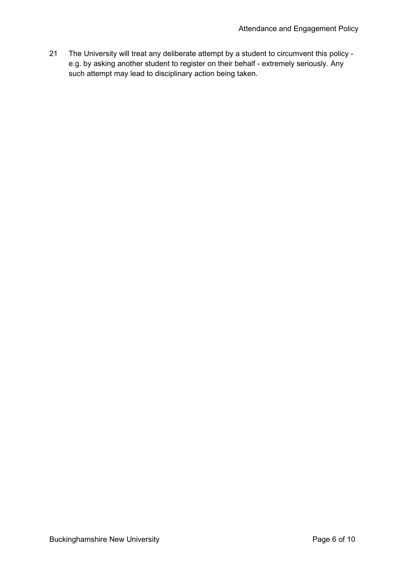21 The University will treat any deliberate attempt by a student to circumvent this policy e.g. by asking another student to register on their behalf - extremely seriously. Any such attempt may lead to disciplinary action being taken.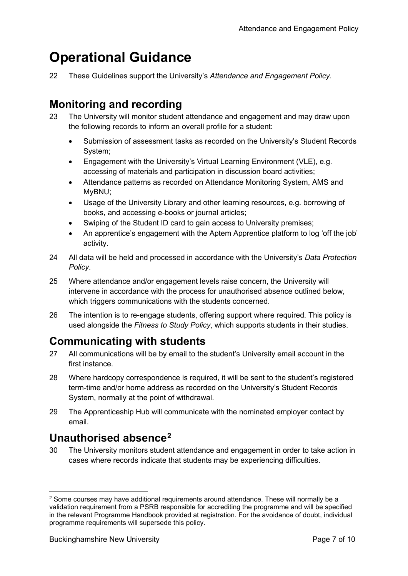# <span id="page-6-0"></span>**Operational Guidance**

22 These Guidelines support the University's *Attendance and Engagement Policy*.

### <span id="page-6-1"></span>**Monitoring and recording**

- 23 The University will monitor student attendance and engagement and may draw upon the following records to inform an overall profile for a student:
	- Submission of assessment tasks as recorded on the University's Student Records System;
	- Engagement with the University's Virtual Learning Environment (VLE), e.g. accessing of materials and participation in discussion board activities;
	- Attendance patterns as recorded on Attendance Monitoring System, AMS and MyBNU;
	- Usage of the University Library and other learning resources, e.g. borrowing of books, and accessing e-books or journal articles;
	- Swiping of the Student ID card to gain access to University premises;
	- An apprentice's engagement with the Aptem Apprentice platform to log 'off the job' activity.
- 24 All data will be held and processed in accordance with the University's *Data Protection Policy*.
- 25 Where attendance and/or engagement levels raise concern, the University will intervene in accordance with the process for unauthorised absence outlined below, which triggers communications with the students concerned.
- 26 The intention is to re-engage students, offering support where required. This policy is used alongside the *Fitness to Study Policy*, which supports students in their studies.

### <span id="page-6-2"></span>**Communicating with students**

- 27 All communications will be by email to the student's University email account in the first instance.
- 28 Where hardcopy correspondence is required, it will be sent to the student's registered term-time and/or home address as recorded on the University's Student Records System, normally at the point of withdrawal.
- 29 The Apprenticeship Hub will communicate with the nominated employer contact by email.

### <span id="page-6-3"></span>**Unauthorised absence[2](#page-6-4)**

30 The University monitors student attendance and engagement in order to take action in cases where records indicate that students may be experiencing difficulties.

<span id="page-6-4"></span><sup>&</sup>lt;sup>2</sup> Some courses may have additional requirements around attendance. These will normally be a validation requirement from a PSRB responsible for accrediting the programme and will be specified in the relevant Programme Handbook provided at registration. For the avoidance of doubt, individual programme requirements will supersede this policy.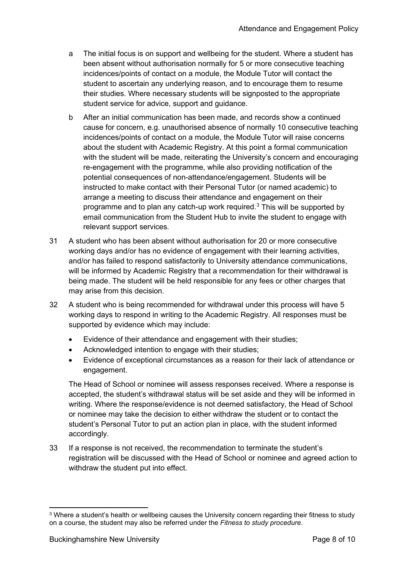- a The initial focus is on support and wellbeing for the student. Where a student has been absent without authorisation normally for 5 or more consecutive teaching incidences/points of contact on a module, the Module Tutor will contact the student to ascertain any underlying reason, and to encourage them to resume their studies. Where necessary students will be signposted to the appropriate student service for advice, support and guidance.
- b After an initial communication has been made, and records show a continued cause for concern, e.g. unauthorised absence of normally 10 consecutive teaching incidences/points of contact on a module, the Module Tutor will raise concerns about the student with Academic Registry. At this point a formal communication with the student will be made, reiterating the University's concern and encouraging re-engagement with the programme, while also providing notification of the potential consequences of non-attendance/engagement. Students will be instructed to make contact with their Personal Tutor (or named academic) to arrange a meeting to discuss their attendance and engagement on their programme and to plan any catch-up work required.<sup>[3](#page-7-0)</sup> This will be supported by email communication from the Student Hub to invite the student to engage with relevant support services.
- 31 A student who has been absent without authorisation for 20 or more consecutive working days and/or has no evidence of engagement with their learning activities, and/or has failed to respond satisfactorily to University attendance communications, will be informed by Academic Registry that a recommendation for their withdrawal is being made. The student will be held responsible for any fees or other charges that may arise from this decision.
- 32 A student who is being recommended for withdrawal under this process will have 5 working days to respond in writing to the Academic Registry. All responses must be supported by evidence which may include:
	- Evidence of their attendance and engagement with their studies;
	- Acknowledged intention to engage with their studies;
	- Evidence of exceptional circumstances as a reason for their lack of attendance or engagement.

The Head of School or nominee will assess responses received. Where a response is accepted, the student's withdrawal status will be set aside and they will be informed in writing. Where the response/evidence is not deemed satisfactory, the Head of School or nominee may take the decision to either withdraw the student or to contact the student's Personal Tutor to put an action plan in place, with the student informed accordingly.

33 If a response is not received, the recommendation to terminate the student's registration will be discussed with the Head of School or nominee and agreed action to withdraw the student put into effect.

<span id="page-7-0"></span><sup>3</sup> Where a student's health or wellbeing causes the University concern regarding their fitness to study on a course, the student may also be referred under the *Fitness to study procedure*.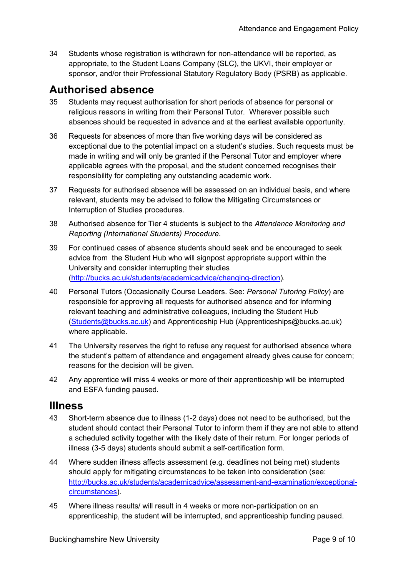34 Students whose registration is withdrawn for non-attendance will be reported, as appropriate, to the Student Loans Company (SLC), the UKVI, their employer or sponsor, and/or their Professional Statutory Regulatory Body (PSRB) as applicable.

### <span id="page-8-0"></span>**Authorised absence**

- 35 Students may request authorisation for short periods of absence for personal or religious reasons in writing from their Personal Tutor. Wherever possible such absences should be requested in advance and at the earliest available opportunity.
- 36 Requests for absences of more than five working days will be considered as exceptional due to the potential impact on a student's studies. Such requests must be made in writing and will only be granted if the Personal Tutor and employer where applicable agrees with the proposal, and the student concerned recognises their responsibility for completing any outstanding academic work.
- 37 Requests for authorised absence will be assessed on an individual basis, and where relevant, students may be advised to follow the Mitigating Circumstances or Interruption of Studies procedures.
- 38 Authorised absence for Tier 4 students is subject to the *Attendance Monitoring and Reporting (International Students) Procedure*.
- 39 For continued cases of absence students should seek and be encouraged to seek advice from the Student Hub who will signpost appropriate support within the University and consider interrupting their studies [\(http://bucks.ac.uk/students/academicadvice/changing-direction\)](http://bucks.ac.uk/students/academicadvice/changing-direction).
- 40 Personal Tutors (Occasionally Course Leaders. See: *Personal Tutoring Policy*) are responsible for approving all requests for authorised absence and for informing relevant teaching and administrative colleagues, including the Student Hub [\(Students@bucks.ac.uk\)](mailto:Students@bucks.ac.uk) and Apprenticeship Hub (Apprenticeships@bucks.ac.uk) where applicable.
- 41 The University reserves the right to refuse any request for authorised absence where the student's pattern of attendance and engagement already gives cause for concern; reasons for the decision will be given.
- 42 Any apprentice will miss 4 weeks or more of their apprenticeship will be interrupted and ESFA funding paused.

### <span id="page-8-1"></span>**Illness**

- 43 Short-term absence due to illness (1-2 days) does not need to be authorised, but the student should contact their Personal Tutor to inform them if they are not able to attend a scheduled activity together with the likely date of their return. For longer periods of illness (3-5 days) students should submit a self-certification form.
- 44 Where sudden illness affects assessment (e.g. deadlines not being met) students should apply for mitigating circumstances to be taken into consideration (see: [http://bucks.ac.uk/students/academicadvice/assessment-and-examination/exceptional](http://bucks.ac.uk/students/academicadvice/assessment-and-examination/exceptional-circumstances)[circumstances\)](http://bucks.ac.uk/students/academicadvice/assessment-and-examination/exceptional-circumstances).
- 45 Where illness results/ will result in 4 weeks or more non-participation on an apprenticeship, the student will be interrupted, and apprenticeship funding paused.